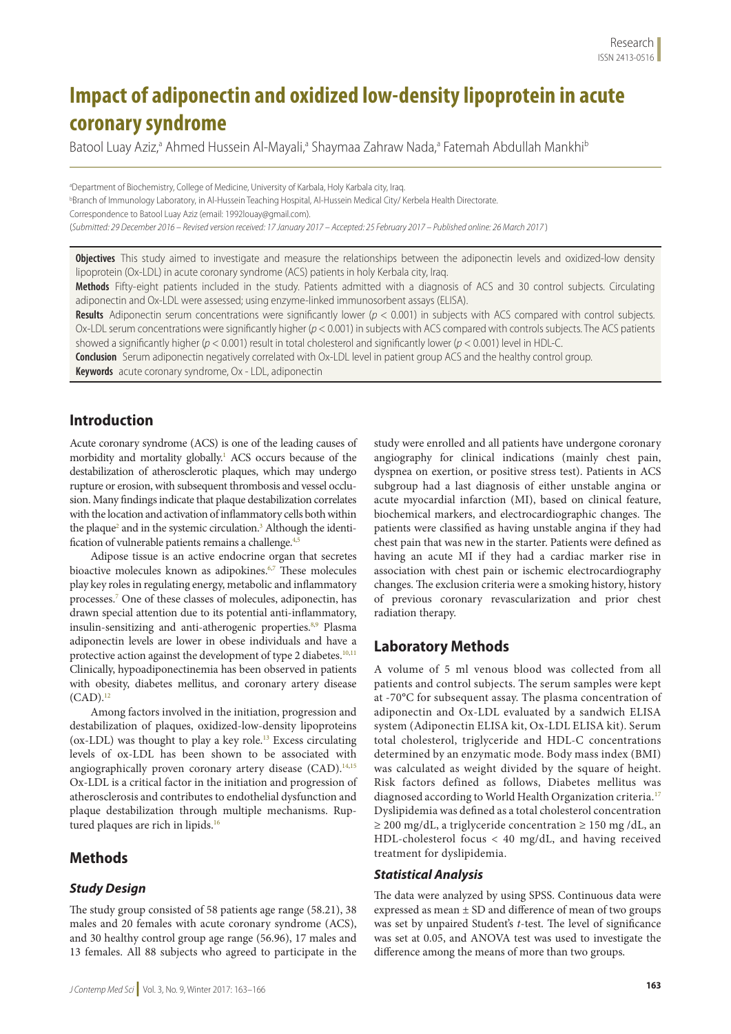# **Impact of adiponectin and oxidized low-density lipoprotein in acute coronary syndrome**

Batool Luay Aziz,<sup>a</sup> Ahmed Hussein Al-Mayali,<sup>a</sup> Shaymaa Zahraw Nada,<sup>a</sup> Fatemah Abdullah Mankhi<sup>t</sup>

<sup>a</sup>Department of Biochemistry, College of Medicine, University of Karbala, Holy Karbala city, Iraq. b Branch of Immunology Laboratory, in Al-Hussein Teaching Hospital, Al-Hussein Medical City/ Kerbela Health Directorate. Correspondence to Batool Luay Aziz (email: 1992louay@gmail.com). (*Submitted: 29 December 2016 – Revised version received: 17 January 2017 – Accepted: 25 February 2017 – Published online: 26 March 2017* )

**Objectives** This study aimed to investigate and measure the relationships between the adiponectin levels and oxidized-low density lipoprotein (Ox-LDL) in acute coronary syndrome (ACS) patients in holy Kerbala city, Iraq.

**Methods** Fifty-eight patients included in the study. Patients admitted with a diagnosis of ACS and 30 control subjects. Circulating adiponectin and Ox-LDL were assessed; using enzyme-linked immunosorbent assays (ELISA).

**Results** Adiponectin serum concentrations were significantly lower (*p* < 0.001) in subjects with ACS compared with control subjects. Ox-LDL serum concentrations were significantly higher (*p* < 0.001) in subjects with ACS compared with controls subjects. The ACS patients showed a significantly higher (*p* < 0.001) result in total cholesterol and significantly lower (*p* < 0.001) level in HDL-C.

**Conclusion** Serum adiponectin negatively correlated with Ox-LDL level in patient group ACS and the healthy control group.

**Keywords** acute coronary syndrome, Ox - LDL, adiponectin

# **Introduction**

Acute coronary syndrome (ACS) is one of the leading causes of morbidity and mortality globally.1 ACS occurs because of the destabilization of atherosclerotic plaques, which may undergo rupture or erosion, with subsequent thrombosis and vessel occlusion. Many findings indicate that plaque destabilization correlates with the location and activation of inflammatory cells both within the plaque<sup>2</sup> and in the systemic circulation.<sup>3</sup> Although the identification of vulnerable patients remains a challenge.<sup>4,5</sup>

Adipose tissue is an active endocrine organ that secretes bioactive molecules known as adipokines.<sup>6,7</sup> These molecules play key roles in regulating energy, metabolic and inflammatory processes.7 One of these classes of molecules, adiponectin, has drawn special attention due to its potential anti-inflammatory, insulin-sensitizing and anti-atherogenic properties.<sup>8,9</sup> Plasma adiponectin levels are lower in obese individuals and have a protective action against the development of type 2 diabetes.<sup>10,11</sup> Clinically, hypoadiponectinemia has been observed in patients with obesity, diabetes mellitus, and coronary artery disease  $(CAD).<sup>12</sup>$ 

Among factors involved in the initiation, progression and destabilization of plaques, oxidized-low-density lipoproteins (ox-LDL) was thought to play a key role.13 Excess circulating levels of ox-LDL has been shown to be associated with angiographically proven coronary artery disease (CAD).<sup>14,15</sup> Ox-LDL is a critical factor in the initiation and progression of atherosclerosis and contributes to endothelial dysfunction and plaque destabilization through multiple mechanisms. Ruptured plaques are rich in lipids.<sup>16</sup>

# **Methods**

### *Study Design*

The study group consisted of 58 patients age range (58.21), 38 males and 20 females with acute coronary syndrome (ACS), and 30 healthy control group age range (56.96), 17 males and 13 females. All 88 subjects who agreed to participate in the

study were enrolled and all patients have undergone coronary angiography for clinical indications (mainly chest pain, dyspnea on exertion, or positive stress test). Patients in ACS subgroup had a last diagnosis of either unstable angina or acute myocardial infarction (MI), based on clinical feature, biochemical markers, and electrocardiographic changes. The patients were classified as having unstable angina if they had chest pain that was new in the starter. Patients were defined as having an acute MI if they had a cardiac marker rise in association with chest pain or ischemic electrocardiography changes. The exclusion criteria were a smoking history, history of previous coronary revascularization and prior chest radiation therapy.

# **Laboratory Methods**

A volume of 5 ml venous blood was collected from all patients and control subjects. The serum samples were kept at -70°C for subsequent assay. The plasma concentration of adiponectin and Ox-LDL evaluated by a sandwich ELISA system (Adiponectin ELISA kit, Ox-LDL ELISA kit). Serum total cholesterol, triglyceride and HDL-C concentrations determined by an enzymatic mode. Body mass index (BMI) was calculated as weight divided by the square of height. Risk factors defined as follows, Diabetes mellitus was diagnosed according to World Health Organization criteria.<sup>17</sup> Dyslipidemia was defined as a total cholesterol concentration ≥ 200 mg/dL, a triglyceride concentration ≥ 150 mg /dL, an HDL-cholesterol focus < 40 mg/dL, and having received treatment for dyslipidemia.

#### *Statistical Analysis*

The data were analyzed by using SPSS. Continuous data were expressed as mean ± SD and difference of mean of two groups was set by unpaired Student's *t*-test. The level of significance was set at 0.05, and ANOVA test was used to investigate the difference among the means of more than two groups.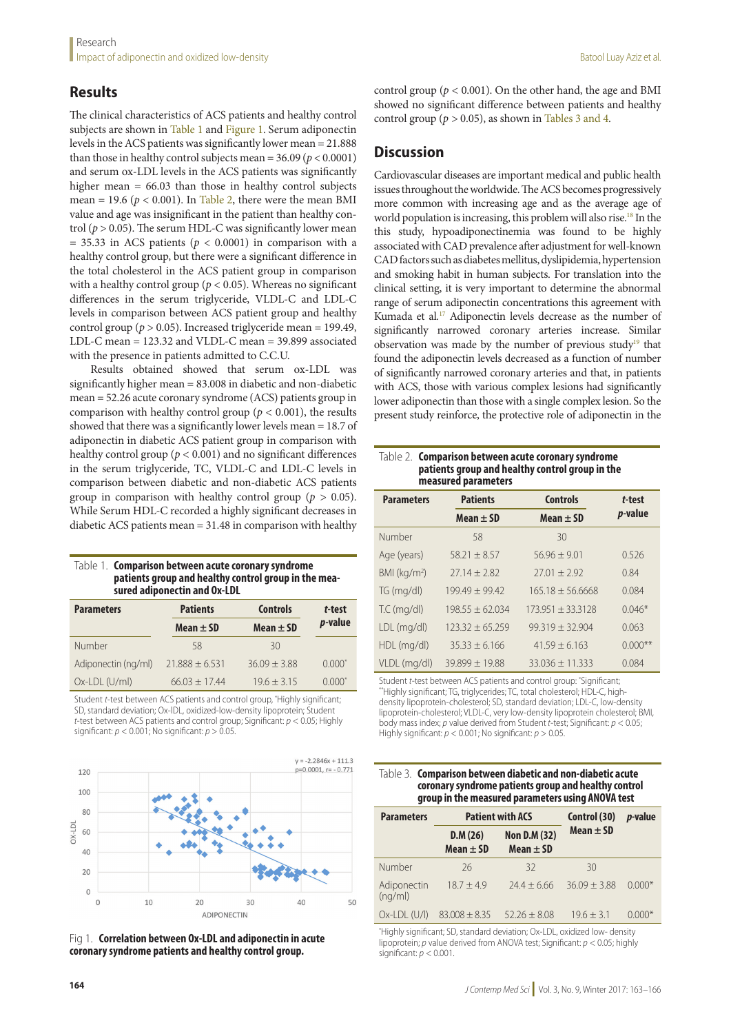# **Results**

The clinical characteristics of ACS patients and healthy control subjects are shown in Table 1 and Figure 1. Serum adiponectin levels in the ACS patients was significantly lower mean = 21.888 than those in healthy control subjects mean =  $36.09 (p < 0.0001)$ and serum ox-LDL levels in the ACS patients was significantly higher mean  $= 66.03$  than those in healthy control subjects mean = 19.6 ( $p < 0.001$ ). In Table 2, there were the mean BMI value and age was insignificant in the patient than healthy control ( $p > 0.05$ ). The serum HDL-C was significantly lower mean  $= 35.33$  in ACS patients ( $p < 0.0001$ ) in comparison with a healthy control group, but there were a significant difference in the total cholesterol in the ACS patient group in comparison with a healthy control group ( $p < 0.05$ ). Whereas no significant differences in the serum triglyceride, VLDL-C and LDL-C levels in comparison between ACS patient group and healthy control group ( $p > 0.05$ ). Increased triglyceride mean = 199.49, LDL-C mean = 123.32 and VLDL-C mean = 39.899 associated with the presence in patients admitted to C.C.U.

Results obtained showed that serum ox-LDL was significantly higher mean = 83.008 in diabetic and non-diabetic mean = 52.26 acute coronary syndrome (ACS) patients group in comparison with healthy control group ( $p < 0.001$ ), the results showed that there was a significantly lower levels mean = 18.7 of adiponectin in diabetic ACS patient group in comparison with healthy control group ( $p < 0.001$ ) and no significant differences in the serum triglyceride, TC, VLDL-C and LDL-C levels in comparison between diabetic and non-diabetic ACS patients group in comparison with healthy control group ( $p > 0.05$ ). While Serum HDL-C recorded a highly significant decreases in diabetic ACS patients mean = 31.48 in comparison with healthy

| Table 1. Comparison between acute coronary syndrome  |
|------------------------------------------------------|
| patients group and healthy control group in the mea- |
| sured adiponectin and Ox-LDL                         |

| <b>Parameters</b>   | <b>Patients</b>    | <b>Controls</b> | t-test          |
|---------------------|--------------------|-----------------|-----------------|
|                     | Mean $\pm$ SD      | Mean $\pm$ SD   | <i>p</i> -value |
| <b>Number</b>       | 58                 | 30              |                 |
| Adiponectin (ng/ml) | $21.888 \pm 6.531$ | $36.09 + 3.88$  | $0.000*$        |
| Ox-LDL (U/ml)       | $66.03 + 17.44$    | $19.6 + 3.15$   | $0.000*$        |

Student *t*-test between ACS patients and control group, \* Highly significant; SD, standard deviation; Ox-lDL, oxidized-low-density lipoprotein; Student *t*-test between ACS patients and control group; Significant: *p* < 0.05; Highly significant:  $p < 0.001$ ; No significant:  $p > 0.05$ .



Fig 1. **Correlation between Ox-LDL and adiponectin in acute coronary syndrome patients and healthy control group.**

control group ( $p < 0.001$ ). On the other hand, the age and BMI showed no significant difference between patients and healthy control group ( $p > 0.05$ ), as shown in Tables 3 and 4.

## **Discussion**

Cardiovascular diseases are important medical and public health issues throughout the worldwide. The ACS becomes progressively more common with increasing age and as the average age of world population is increasing, this problem will also rise.<sup>18</sup> In the this study, hypoadiponectinemia was found to be highly associated with CAD prevalence after adjustment for well-known CAD factors such as diabetes mellitus, dyslipidemia, hypertension and smoking habit in human subjects. For translation into the clinical setting, it is very important to determine the abnormal range of serum adiponectin concentrations this agreement with Kumada et al.<sup>17</sup> Adiponectin levels decrease as the number of significantly narrowed coronary arteries increase. Similar observation was made by the number of previous study<sup>19</sup> that found the adiponectin levels decreased as a function of number of significantly narrowed coronary arteries and that, in patients with ACS, those with various complex lesions had significantly lower adiponectin than those with a single complex lesion. So the present study reinforce, the protective role of adiponectin in the

Table 2. **Comparison between acute coronary syndrome patients group and healthy control group in the measured parameters**

| <b>Parameters</b>        | <b>Patients</b>   | <b>Controls</b>     | t-test          |
|--------------------------|-------------------|---------------------|-----------------|
|                          | Mean $\pm$ SD     | Mean $\pm$ SD       | <i>p</i> -value |
| Number                   | 58                | 30                  |                 |
| Age (years)              | $58.21 + 8.57$    | $56.96 \pm 9.01$    | 0.526           |
| BMI (kg/m <sup>2</sup> ) | $27.14 + 2.82$    | $27.01 \pm 2.92$    | 0.84            |
| TG (mq/dl)               | $199.49 + 99.42$  | $165.18 + 56.6668$  | 0.084           |
| $TC$ (mg/dl)             | $198.55 + 62.034$ | $173.951 + 33.3128$ | $0.046*$        |
| LDL (mg/dl)              | $123.32 + 65.259$ | $99.319 + 32.904$   | 0.063           |
| HDL (mg/dl)              | $35.33 + 6.166$   | $41.59 + 6.163$     | $0.000**$       |
| VLDL (mg/dl)             | $39.899 + 19.88$  | $33.036 + 11.333$   | 0.084           |

Student *t*-test between ACS patients and control group: \*  $^{\ast}$ Highly significant; TG, triglycerides; TC, total cholesterol; HDL-C, highdensity lipoprotein-cholesterol; SD, standard deviation; LDL-C, low-density lipoprotein-cholesterol; VLDL-C, very low-density lipoprotein cholesterol; BMI, body mass index; *p* value derived from Student *t*-test; Significant: *p* < 0.05; Highly significant: *p* < 0.001; No significant: *p* > 0.05.

| Table 3. Comparison between diabetic and non-diabetic acute |
|-------------------------------------------------------------|
| coronary syndrome patients group and healthy control        |
| group in the measured parameters using ANOVA test           |

| <b>Parameters</b>      | <b>Patient with ACS</b>  |                                      | Control (30)   | <i>p</i> -value |
|------------------------|--------------------------|--------------------------------------|----------------|-----------------|
|                        | D.M(26)<br>Mean $\pm$ SD | <b>Non D.M (32)</b><br>Mean $\pm$ SD | Mean $\pm$ SD  |                 |
| Number                 | 26                       | 32                                   | 30             |                 |
| Adiponectin<br>(nq/ml) | $18.7 + 4.9$             | $74.4 \pm 6.66$                      | $36.09 + 3.88$ | $0.000*$        |
| $Ox$ -LDL $(U/$        | $83.008 \pm 8.35$        | $52.26 + 8.08$                       | $19.6 + 3.1$   | $0.000*$        |

\* Highly significant; SD, standard deviation; Ox-LDL, oxidized low- density lipoprotein; *p* value derived from ANOVA test; Significant: *p* < 0.05; highly significant: *p* < 0.001.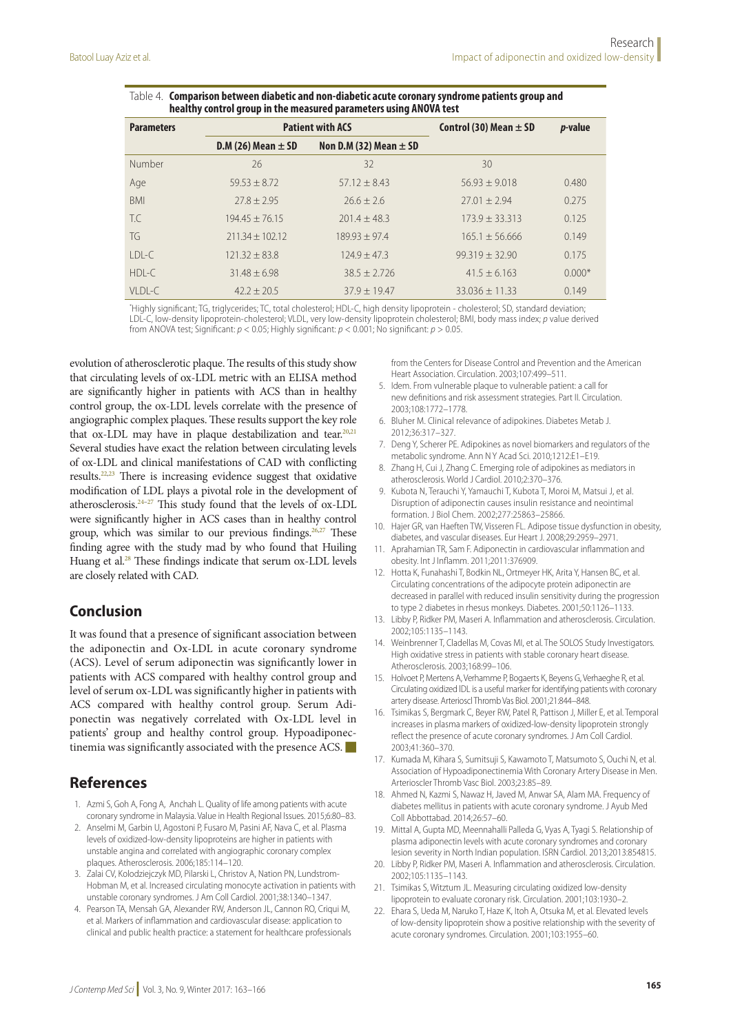| <b>Parameters</b> | <b>Patient with ACS</b> |                            | Control (30) Mean $\pm$ SD | <i>p</i> -value |
|-------------------|-------------------------|----------------------------|----------------------------|-----------------|
|                   | D.M (26) Mean $\pm$ SD  | Non D.M (32) Mean $\pm$ SD |                            |                 |
| Number            | 26                      | 32                         | 30                         |                 |
| Age               | $59.53 + 8.72$          | $57.12 + 8.43$             | $56.93 + 9.018$            | 0.480           |
| <b>BMI</b>        | $77.8 + 7.95$           | $26.6 + 2.6$               | $27.01 + 2.94$             | 0.275           |
| T.C               | $194.45 + 76.15$        | $201.4 + 48.3$             | $173.9 + 33.313$           | 0.125           |
| TG                | $211.34 + 102.12$       | $189.93 + 97.4$            | $165.1 + 56.666$           | 0.149           |
| $IDI-C$           | $121.32 + 83.8$         | $124.9 + 47.3$             | $99.319 + 32.90$           | 0.175           |
| $HDI - C$         | $31.48 + 6.98$          | $38.5 + 2.726$             | $41.5 + 6.163$             | $0.000*$        |
| $VIDI-C$          | $42.2 + 20.5$           | $37.9 + 19.47$             | $33.036 \pm 11.33$         | 0.149           |

| ${\sf Table~4.~}$ Comparison between diabetic and non-diabetic acute coronary syndrome patients group and |
|-----------------------------------------------------------------------------------------------------------|
| healthy control group in the measured parameters using ANOVA test                                         |

\* Highly significant; TG, triglycerides; TC, total cholesterol; HDL-C, high density lipoprotein - cholesterol; SD, standard deviation; LDL-C, low-density lipoprotein-cholesterol; VLDL, very low-density lipoprotein cholesterol; BMI, body mass index; *p* value derived from ANOVA test; Significant: *p* < 0.05; Highly significant: *p* < 0.001; No significant: *p* > 0.05.

evolution of atherosclerotic plaque. The results of this study show that circulating levels of ox-LDL metric with an ELISA method are significantly higher in patients with ACS than in healthy control group, the ox-LDL levels correlate with the presence of angiographic complex plaques. These results support the key role that ox-LDL may have in plaque destabilization and tear.<sup>20,21</sup> Several studies have exact the relation between circulating levels of ox-LDL and clinical manifestations of CAD with conflicting results.22,23 There is increasing evidence suggest that oxidative modification of LDL plays a pivotal role in the development of atherosclerosis.24–27 This study found that the levels of ox-LDL were significantly higher in ACS cases than in healthy control group, which was similar to our previous findings. $26,27$  These finding agree with the study mad by who found that Huiling Huang et al.<sup>28</sup> These findings indicate that serum ox-LDL levels are closely related with CAD.

### **Conclusion**

It was found that a presence of significant association between the adiponectin and Ox-LDL in acute coronary syndrome (ACS). Level of serum adiponectin was significantly lower in patients with ACS compared with healthy control group and level of serum ox-LDL was significantly higher in patients with ACS compared with healthy control group. Serum Adiponectin was negatively correlated with Ox-LDL level in patients' group and healthy control group. Hypoadiponectinemia was significantly associated with the presence ACS.  $\blacksquare$ 

### **References**

- 1. Azmi S, Goh A, Fong A, Anchah L. Quality of life among patients with acute coronary syndrome in Malaysia. Value in Health Regional Issues. 2015;6:80–83.
- 2. Anselmi M, Garbin U, Agostoni P, Fusaro M, Pasini AF, Nava C, et al. Plasma levels of oxidized-low-density lipoproteins are higher in patients with unstable angina and correlated with angiographic coronary complex plaques. Atherosclerosis. 2006;185:114–120.
- 3. Zalai CV, Kolodziejczyk MD, Pilarski L, Christov A, Nation PN, Lundstrom-Hobman M, et al. Increased circulating monocyte activation in patients with unstable coronary syndromes. J Am Coll Cardiol. 2001;38:1340–1347.
- 4. Pearson TA, Mensah GA, Alexander RW, Anderson JL, Cannon RO, Criqui M, et al. Markers of inflammation and cardiovascular disease: application to clinical and public health practice: a statement for healthcare professionals

from the Centers for Disease Control and Prevention and the American Heart Association. Circulation. 2003;107:499–511.

- 5. Idem. From vulnerable plaque to vulnerable patient: a call for new definitions and risk assessment strategies. Part II. Circulation. 2003;108:1772–1778.
- 6. Bluher M. Clinical relevance of adipokines. Diabetes Metab J. 2012;36:317–327.
- 7. Deng Y, Scherer PE. Adipokines as novel biomarkers and regulators of the metabolic syndrome. Ann N Y Acad Sci. 2010;1212:E1–E19.
- 8. Zhang H, Cui J, Zhang C. Emerging role of adipokines as mediators in atherosclerosis. World J Cardiol. 2010;2:370–376.
- 9. Kubota N, Terauchi Y, Yamauchi T, Kubota T, Moroi M, Matsui J, et al. Disruption of adiponectin causes insulin resistance and neointimal formation. J Biol Chem. 2002;277:25863–25866.
- 10. Hajer GR, van Haeften TW, Visseren FL. Adipose tissue dysfunction in obesity, diabetes, and vascular diseases. Eur Heart J. 2008;29:2959–2971.
- 11. Aprahamian TR, Sam F. Adiponectin in cardiovascular inflammation and obesity. Int J Inflamm. 2011;2011:376909.
- 12. Hotta K, Funahashi T, Bodkin NL, Ortmeyer HK, Arita Y, Hansen BC, et al. Circulating concentrations of the adipocyte protein adiponectin are decreased in parallel with reduced insulin sensitivity during the progression to type 2 diabetes in rhesus monkeys. Diabetes. 2001;50:1126–1133.
- 13. Libby P, Ridker PM, Maseri A. Inflammation and atherosclerosis. Circulation. 2002;105:1135–1143.
- 14. Weinbrenner T, Cladellas M, Covas MI, et al. The SOLOS Study Investigators. High oxidative stress in patients with stable coronary heart disease. Atherosclerosis. 2003;168:99–106.
- 15. Holvoet P, Mertens A, Verhamme P, Bogaerts K, Beyens G, Verhaeghe R, et al. Circulating oxidized lDL is a useful marker for identifying patients with coronary artery disease. Arterioscl Thromb Vas Biol. 2001;21:844–848.
- 16. Tsimikas S, Bergmark C, Beyer RW, Patel R, Pattison J, Miller E, et al. Temporal increases in plasma markers of oxidized-low-density lipoprotein strongly reflect the presence of acute coronary syndromes. J Am Coll Cardiol. 2003;41:360–370.
- 17. Kumada M, Kihara S, Sumitsuji S, Kawamoto T, Matsumoto S, Ouchi N, et al. Association of Hypoadiponectinemia With Coronary Artery Disease in Men. Arterioscler Thromb Vasc Biol. 2003;23:85–89.
- 18. Ahmed N, Kazmi S, Nawaz H, Javed M, Anwar SA, Alam MA. Frequency of diabetes mellitus in patients with acute coronary syndrome. J Ayub Med Coll Abbottabad. 2014;26:57–60.
- 19. Mittal A, Gupta MD, Meennahalli Palleda G, Vyas A, Tyagi S. Relationship of plasma adiponectin levels with acute coronary syndromes and coronary lesion severity in North Indian population. ISRN Cardiol. 2013;2013:854815.
- 20. Libby P, Ridker PM, Maseri A. Inflammation and atherosclerosis. Circulation. 2002;105:1135–1143.
- 21. Tsimikas S, Witztum JL. Measuring circulating oxidized low-density lipoprotein to evaluate coronary risk. Circulation. 2001;103:1930–2.
- 22. Ehara S, Ueda M, Naruko T, Haze K, Itoh A, Otsuka M, et al. Elevated levels of low-density lipoprotein show a positive relationship with the severity of acute coronary syndromes. Circulation. 2001;103:1955–60.